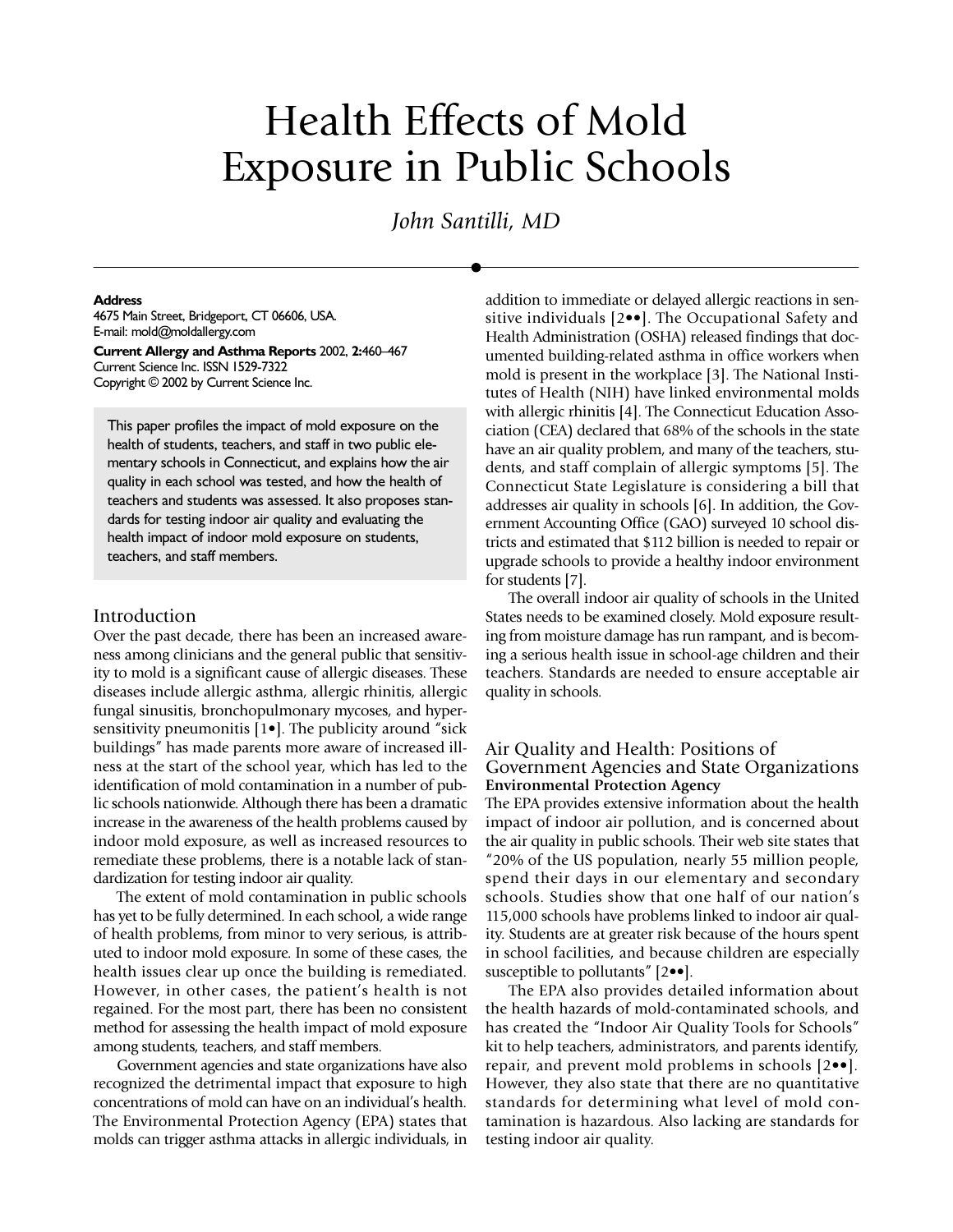# <span id="page-0-0"></span>Health Effects of Mold Exposure in Public Schools

*John Santilli, MD*

#### **Address**

4675 Main Street, Bridgeport, CT 06606, USA. E-mail: mold@moldallergy.com

**Current Allergy and Asthma Reports** 2002, **2:**[460](#page-0-0)[–467](#page-7-0) Current Science Inc. ISSN 1529-7322 Copyright © 2002 by Current Science Inc.

This paper profiles the impact of mold exposure on the health of students, teachers, and staff in two public elementary schools in Connecticut, and explains how the air quality in each school was tested, and how the health of teachers and students was assessed. It also proposes standards for testing indoor air quality and evaluating the health impact of indoor mold exposure on students, teachers, and staff members.

## Introduction

Over the past decade, there has been an increased awareness among clinicians and the general public that sensitivity to mold is a significant cause of allergic diseases. These diseases include allergic asthma, allergic rhinitis, allergic fungal sinusitis, bronchopulmonary mycoses, and hypersensitivity pneumonitis [1•]. The publicity around "sick buildings" has made parents more aware of increased illness at the start of the school year, which has led to the identification of mold contamination in a number of public schools nationwide. Although there has been a dramatic increase in the awareness of the health problems caused by indoor mold exposure, as well as increased resources to remediate these problems, there is a notable lack of standardization for testing indoor air quality.

The extent of mold contamination in public schools has yet to be fully determined. In each school, a wide range of health problems, from minor to very serious, is attributed to indoor mold exposure. In some of these cases, the health issues clear up once the building is remediated. However, in other cases, the patient's health is not regained. For the most part, there has been no consistent method for assessing the health impact of mold exposure among students, teachers, and staff members.

Government agencies and state organizations have also recognized the detrimental impact that exposure to high concentrations of mold can have on an individual's health. The Environmental Protection Agency (EPA) states that molds can trigger asthma attacks in allergic individuals, in

addition to immediate or delayed allergic reactions in sensitive individuals [2••]. The Occupational Safety and Health Administration (OSHA) released findings that documented building-related asthma in office workers when mold is present in the workplace [3]. The National Institutes of Health (NIH) have linked environmental molds with allergic rhinitis [4]. The Connecticut Education Association (CEA) declared that 68% of the schools in the state have an air quality problem, and many of the teachers, students, and staff complain of allergic symptoms [5]. The Connecticut State Legislature is considering a bill that addresses air quality in schools [6]. In addition, the Government Accounting Office (GAO) surveyed 10 school districts and estimated that \$112 billion is needed to repair or upgrade schools to provide a healthy indoor environment for students [7].

The overall indoor air quality of schools in the United States needs to be examined closely. Mold exposure resulting from moisture damage has run rampant, and is becoming a serious health issue in school-age children and their teachers. Standards are needed to ensure acceptable air quality in schools.

# Air Quality and Health: Positions of Government Agencies and State Organizations **Environmental Protection Agency**

The EPA provides extensive information about the health impact of indoor air pollution, and is concerned about the air quality in public schools. Their web site states that "20% of the US population, nearly 55 million people, spend their days in our elementary and secondary schools. Studies show that one half of our nation's 115,000 schools have problems linked to indoor air quality. Students are at greater risk because of the hours spent in school facilities, and because children are especially susceptible to pollutants" [2••].

The EPA also provides detailed information about the health hazards of mold-contaminated schools, and has created the "Indoor Air Quality Tools for Schools" kit to help teachers, administrators, and parents identify, repair, and prevent mold problems in schools [2••]. However, they also state that there are no quantitative standards for determining what level of mold contamination is hazardous. Also lacking are standards for testing indoor air quality.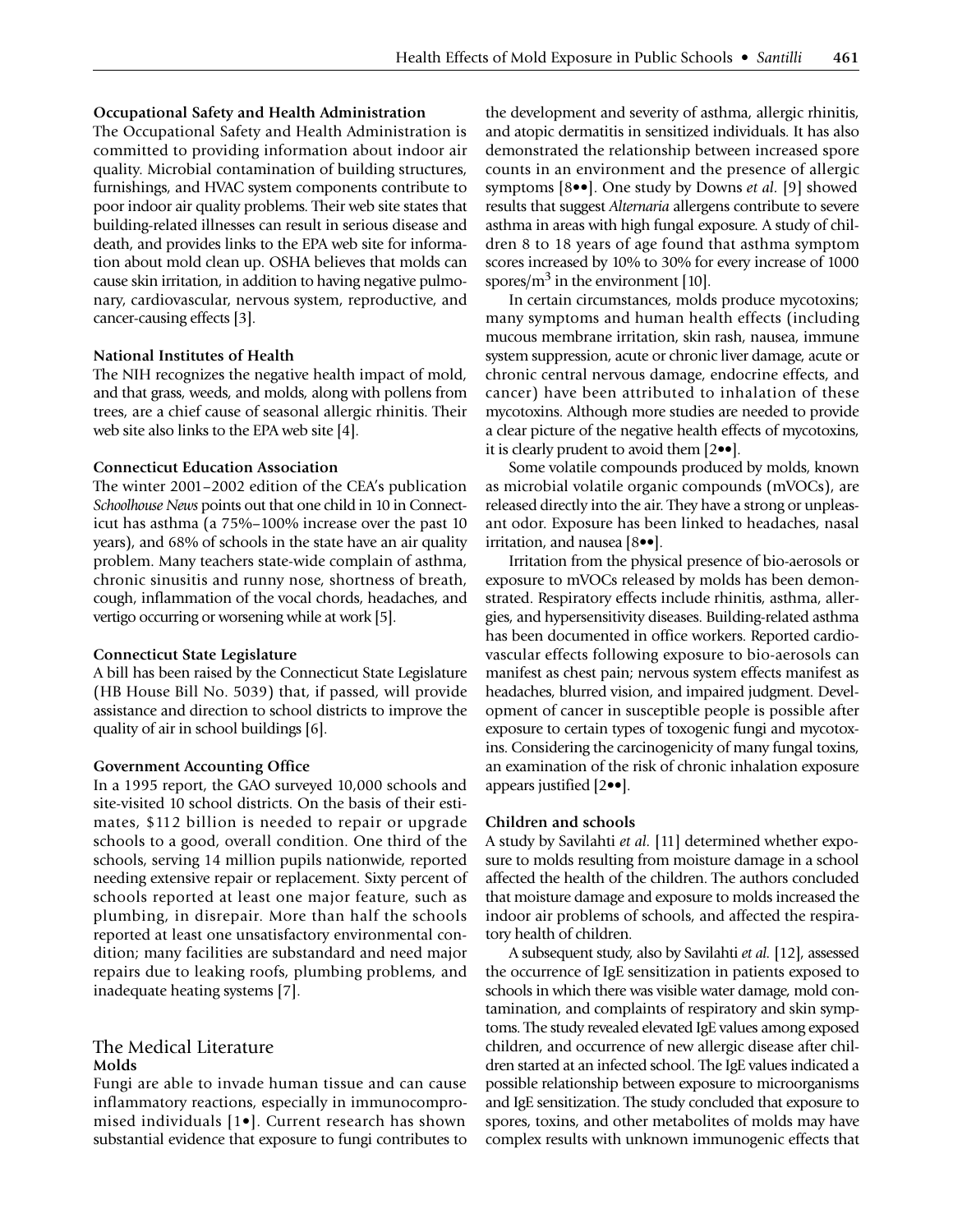# **Occupational Safety and Health Administration**

The Occupational Safety and Health Administration is committed to providing information about indoor air quality. Microbial contamination of building structures, furnishings, and HVAC system components contribute to poor indoor air quality problems. Their web site states that building-related illnesses can result in serious disease and death, and provides links to the EPA web site for information about mold clean up. OSHA believes that molds can cause skin irritation, in addition to having negative pulmonary, cardiovascular, nervous system, reproductive, and cancer-causing effects [3].

#### **National Institutes of Health**

The NIH recognizes the negative health impact of mold, and that grass, weeds, and molds, along with pollens from trees, are a chief cause of seasonal allergic rhinitis. Their web site also links to the EPA web site [4].

#### **Connecticut Education Association**

The winter 2001–2002 edition of the CEA's publication *Schoolhouse News* points out that one child in 10 in Connecticut has asthma (a 75%–100% increase over the past 10 years), and 68% of schools in the state have an air quality problem. Many teachers state-wide complain of asthma, chronic sinusitis and runny nose, shortness of breath, cough, inflammation of the vocal chords, headaches, and vertigo occurring or worsening while at work [5].

#### **Connecticut State Legislature**

A bill has been raised by the Connecticut State Legislature (HB House Bill No. 5039) that, if passed, will provide assistance and direction to school districts to improve the quality of air in school buildings [6].

#### **Government Accounting Office**

In a 1995 report, the GAO surveyed 10,000 schools and site-visited 10 school districts. On the basis of their estimates, \$112 billion is needed to repair or upgrade schools to a good, overall condition. One third of the schools, serving 14 million pupils nationwide, reported needing extensive repair or replacement. Sixty percent of schools reported at least one major feature, such as plumbing, in disrepair. More than half the schools reported at least one unsatisfactory environmental condition; many facilities are substandard and need major repairs due to leaking roofs, plumbing problems, and inadequate heating systems [7].

## The Medical Literature **Molds**

Fungi are able to invade human tissue and can cause inflammatory reactions, especially in immunocompromised individuals [1•]. Current research has shown substantial evidence that exposure to fungi contributes to

the development and severity of asthma, allergic rhinitis, and atopic dermatitis in sensitized individuals. It has also demonstrated the relationship between increased spore counts in an environment and the presence of allergic symptoms [8••]. One study by Downs *et al.* [9] showed results that suggest *Alternaria* allergens contribute to severe asthma in areas with high fungal exposure. A study of children 8 to 18 years of age found that asthma symptom scores increased by 10% to 30% for every increase of 1000 spores/ $m<sup>3</sup>$  in the environment [10].

In certain circumstances, molds produce mycotoxins; many symptoms and human health effects (including mucous membrane irritation, skin rash, nausea, immune system suppression, acute or chronic liver damage, acute or chronic central nervous damage, endocrine effects, and cancer) have been attributed to inhalation of these mycotoxins. Although more studies are needed to provide a clear picture of the negative health effects of mycotoxins, it is clearly prudent to avoid them [2••].

Some volatile compounds produced by molds, known as microbial volatile organic compounds (mVOCs), are released directly into the air. They have a strong or unpleasant odor. Exposure has been linked to headaches, nasal irritation, and nausea [8••].

Irritation from the physical presence of bio-aerosols or exposure to mVOCs released by molds has been demonstrated. Respiratory effects include rhinitis, asthma, allergies, and hypersensitivity diseases. Building-related asthma has been documented in office workers. Reported cardiovascular effects following exposure to bio-aerosols can manifest as chest pain; nervous system effects manifest as headaches, blurred vision, and impaired judgment. Development of cancer in susceptible people is possible after exposure to certain types of toxogenic fungi and mycotoxins. Considering the carcinogenicity of many fungal toxins, an examination of the risk of chronic inhalation exposure appears justified [2••].

#### **Children and schools**

A study by Savilahti *et al.* [11] determined whether exposure to molds resulting from moisture damage in a school affected the health of the children. The authors concluded that moisture damage and exposure to molds increased the indoor air problems of schools, and affected the respiratory health of children.

A subsequent study, also by Savilahti *et al.* [12], assessed the occurrence of IgE sensitization in patients exposed to schools in which there was visible water damage, mold contamination, and complaints of respiratory and skin symptoms. The study revealed elevated IgE values among exposed children, and occurrence of new allergic disease after children started at an infected school. The IgE values indicated a possible relationship between exposure to microorganisms and IgE sensitization. The study concluded that exposure to spores, toxins, and other metabolites of molds may have complex results with unknown immunogenic effects that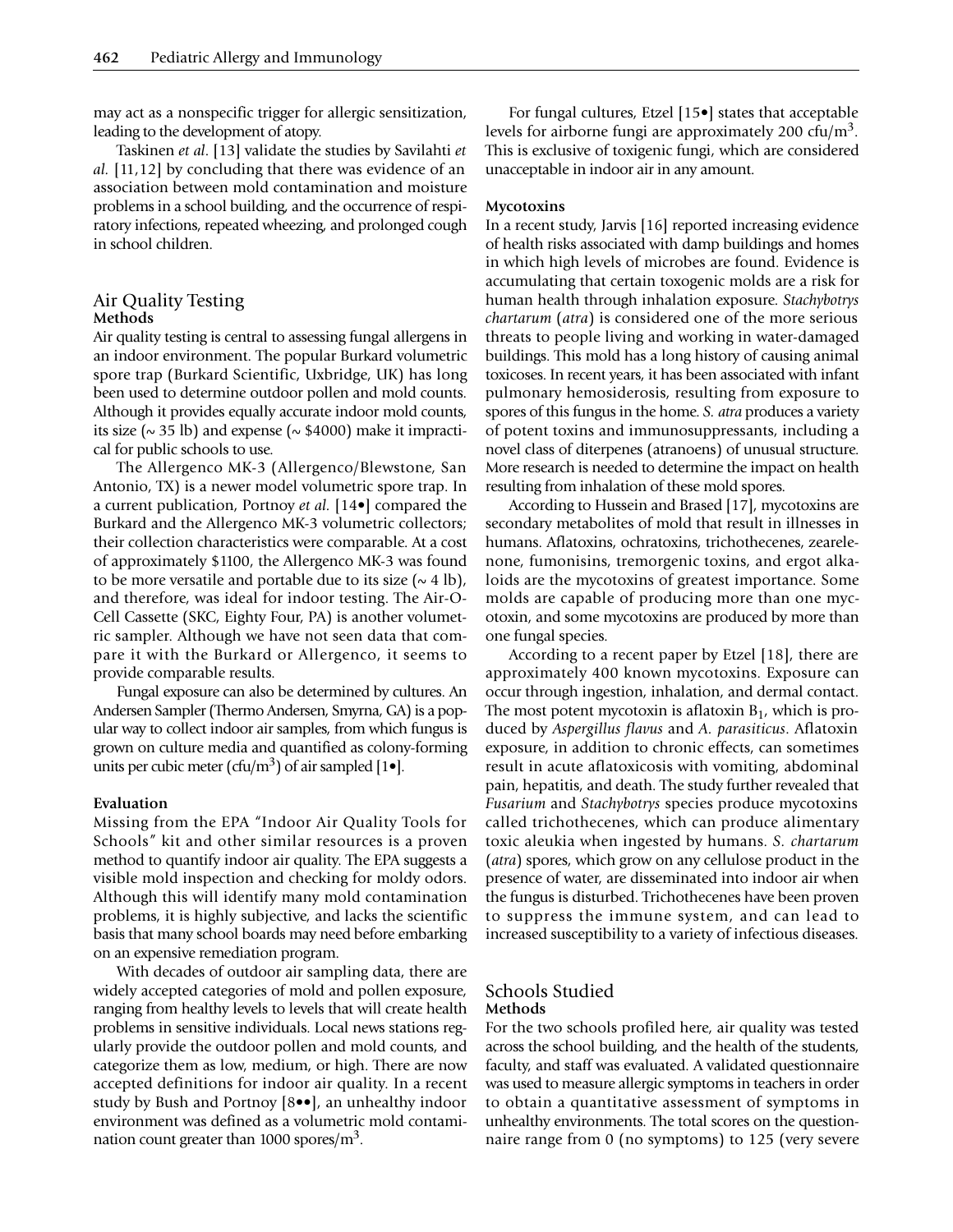may act as a nonspecific trigger for allergic sensitization, leading to the development of atopy.

Taskinen *et al*. [13] validate the studies by Savilahti *et al.* [11,12] by concluding that there was evidence of an association between mold contamination and moisture problems in a school building, and the occurrence of respiratory infections, repeated wheezing, and prolonged cough in school children.

# Air Quality Testing **Methods**

Air quality testing is central to assessing fungal allergens in an indoor environment. The popular Burkard volumetric spore trap (Burkard Scientific, Uxbridge, UK) has long been used to determine outdoor pollen and mold counts. Although it provides equally accurate indoor mold counts, its size ( $\sim$  35 lb) and expense ( $\sim$  \$4000) make it impractical for public schools to use.

The Allergenco MK-3 (Allergenco/Blewstone, San Antonio, TX) is a newer model volumetric spore trap. In a current publication, Portnoy *et al.* [14•] compared the Burkard and the Allergenco MK-3 volumetric collectors; their collection characteristics were comparable. At a cost of approximately \$1100, the Allergenco MK-3 was found to be more versatile and portable due to its size  $({\sim} 4 \text{ lb})$ , and therefore, was ideal for indoor testing. The Air-O-Cell Cassette (SKC, Eighty Four, PA) is another volumetric sampler. Although we have not seen data that compare it with the Burkard or Allergenco, it seems to provide comparable results.

Fungal exposure can also be determined by cultures. An Andersen Sampler (Thermo Andersen, Smyrna, GA) is a popular way to collect indoor air samples, from which fungus is grown on culture media and quantified as colony-forming units per cubic meter (cfu/m<sup>3</sup>) of air sampled [1•].

## **Evaluation**

Missing from the EPA "Indoor Air Quality Tools for Schools" kit and other similar resources is a proven method to quantify indoor air quality. The EPA suggests a visible mold inspection and checking for moldy odors. Although this will identify many mold contamination problems, it is highly subjective, and lacks the scientific basis that many school boards may need before embarking on an expensive remediation program.

With decades of outdoor air sampling data, there are widely accepted categories of mold and pollen exposure, ranging from healthy levels to levels that will create health problems in sensitive individuals. Local news stations regularly provide the outdoor pollen and mold counts, and categorize them as low, medium, or high. There are now accepted definitions for indoor air quality. In a recent study by Bush and Portnoy [8••], an unhealthy indoor environment was defined as a volumetric mold contamination count greater than 1000 spores/ $m<sup>3</sup>$ .

For fungal cultures, Etzel [15•] states that acceptable levels for airborne fungi are approximately 200 cfu/m<sup>3</sup>. This is exclusive of toxigenic fungi, which are considered unacceptable in indoor air in any amount.

# **Mycotoxins**

In a recent study, Jarvis [16] reported increasing evidence of health risks associated with damp buildings and homes in which high levels of microbes are found. Evidence is accumulating that certain toxogenic molds are a risk for human health through inhalation exposure. *Stachybotrys chartarum* (*atra*) is considered one of the more serious threats to people living and working in water-damaged buildings. This mold has a long history of causing animal toxicoses. In recent years, it has been associated with infant pulmonary hemosiderosis, resulting from exposure to spores of this fungus in the home. *S. atra* produces a variety of potent toxins and immunosuppressants, including a novel class of diterpenes (atranoens) of unusual structure. More research is needed to determine the impact on health resulting from inhalation of these mold spores.

According to Hussein and Brased [17], mycotoxins are secondary metabolites of mold that result in illnesses in humans. Aflatoxins, ochratoxins, trichothecenes, zearelenone, fumonisins, tremorgenic toxins, and ergot alkaloids are the mycotoxins of greatest importance. Some molds are capable of producing more than one mycotoxin, and some mycotoxins are produced by more than one fungal species.

According to a recent paper by Etzel [18], there are approximately 400 known mycotoxins. Exposure can occur through ingestion, inhalation, and dermal contact. The most potent mycotoxin is aflatoxin  $B_1$ , which is produced by *Aspergillus flavus* and *A. parasiticus*. Aflatoxin exposure, in addition to chronic effects, can sometimes result in acute aflatoxicosis with vomiting, abdominal pain, hepatitis, and death. The study further revealed that *Fusarium* and *Stachybotrys* species produce mycotoxins called trichothecenes, which can produce alimentary toxic aleukia when ingested by humans. *S. chartarum* (*atra*) spores, which grow on any cellulose product in the presence of water, are disseminated into indoor air when the fungus is disturbed. Trichothecenes have been proven to suppress the immune system, and can lead to increased susceptibility to a variety of infectious diseases.

# Schools Studied **Methods**

For the two schools profiled here, air quality was tested across the school building, and the health of the students, faculty, and staff was evaluated. A validated questionnaire was used to measure allergic symptoms in teachers in order to obtain a quantitative assessment of symptoms in unhealthy environments. The total scores on the questionnaire range from 0 (no symptoms) to 125 (very severe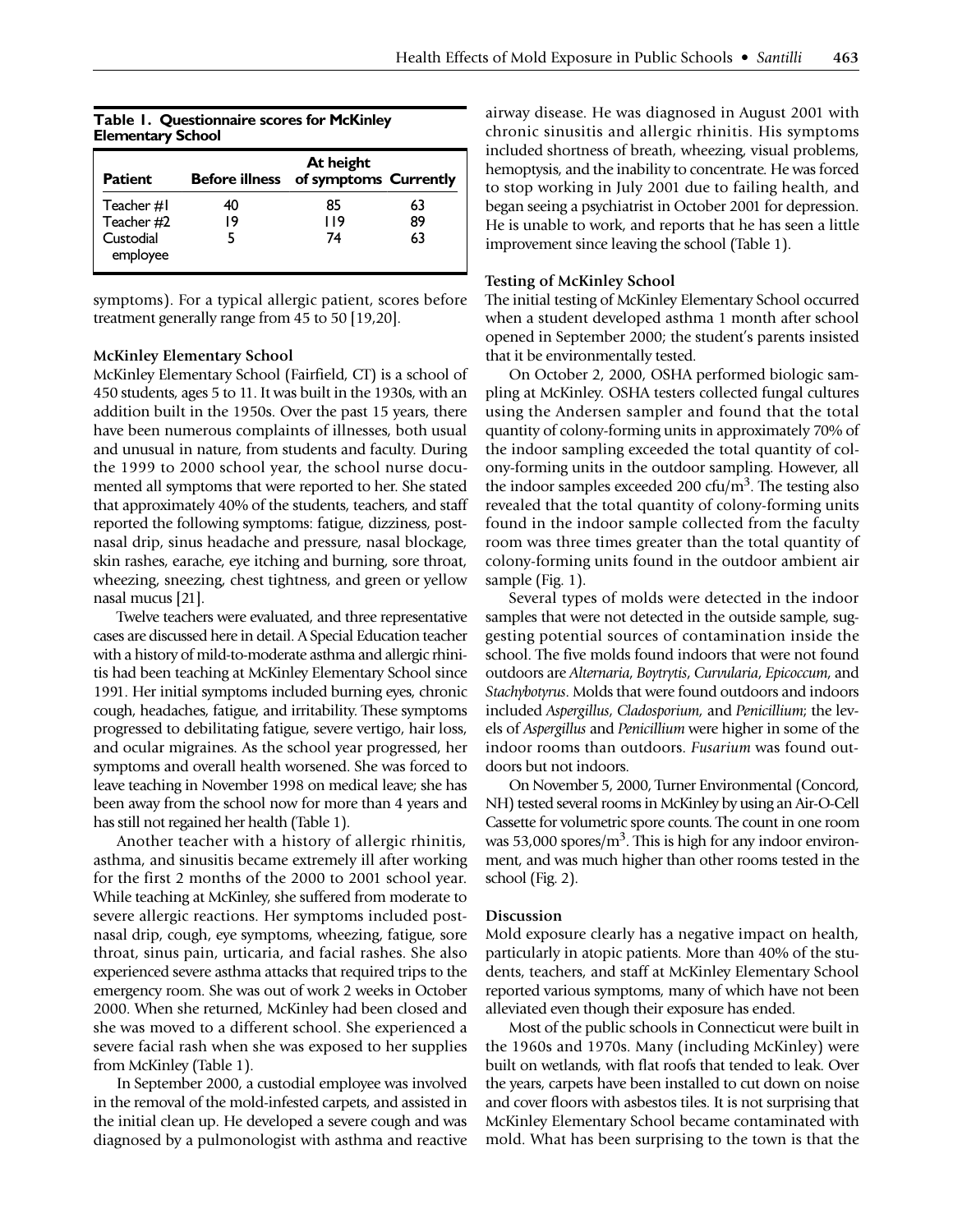| <b>Patient</b>        |    | At height<br>Before illness of symptoms Currently |    |
|-----------------------|----|---------------------------------------------------|----|
| Teacher #1            | 40 | 85                                                | 63 |
| Teacher #2            | 19 | <b>119</b>                                        | 89 |
| Custodial<br>employee |    | 74                                                | 63 |

**Table 1. Questionnaire scores for McKinley Elementary School**

symptoms). For a typical allergic patient, scores before treatment generally range from 45 to 50 [19,20].

#### **McKinley Elementary School**

McKinley Elementary School (Fairfield, CT) is a school of 450 students, ages 5 to 11. It was built in the 1930s, with an addition built in the 1950s. Over the past 15 years, there have been numerous complaints of illnesses, both usual and unusual in nature, from students and faculty. During the 1999 to 2000 school year, the school nurse documented all symptoms that were reported to her. She stated that approximately 40% of the students, teachers, and staff reported the following symptoms: fatigue, dizziness, postnasal drip, sinus headache and pressure, nasal blockage, skin rashes, earache, eye itching and burning, sore throat, wheezing, sneezing, chest tightness, and green or yellow nasal mucus [21].

Twelve teachers were evaluated, and three representative cases are discussed here in detail. A Special Education teacher with a history of mild-to-moderate asthma and allergic rhinitis had been teaching at McKinley Elementary School since 1991. Her initial symptoms included burning eyes, chronic cough, headaches, fatigue, and irritability. These symptoms progressed to debilitating fatigue, severe vertigo, hair loss, and ocular migraines. As the school year progressed, her symptoms and overall health worsened. She was forced to leave teaching in November 1998 on medical leave; she has been away from the school now for more than 4 years and has still not regained her health (Table 1).

Another teacher with a history of allergic rhinitis, asthma, and sinusitis became extremely ill after working for the first 2 months of the 2000 to 2001 school year. While teaching at McKinley, she suffered from moderate to severe allergic reactions. Her symptoms included postnasal drip, cough, eye symptoms, wheezing, fatigue, sore throat, sinus pain, urticaria, and facial rashes. She also experienced severe asthma attacks that required trips to the emergency room. She was out of work 2 weeks in October 2000. When she returned, McKinley had been closed and she was moved to a different school. She experienced a severe facial rash when she was exposed to her supplies from McKinley (Table 1).

In September 2000, a custodial employee was involved in the removal of the mold-infested carpets, and assisted in the initial clean up. He developed a severe cough and was diagnosed by a pulmonologist with asthma and reactive airway disease. He was diagnosed in August 2001 with chronic sinusitis and allergic rhinitis. His symptoms included shortness of breath, wheezing, visual problems, hemoptysis, and the inability to concentrate. He was forced to stop working in July 2001 due to failing health, and began seeing a psychiatrist in October 2001 for depression. He is unable to work, and reports that he has seen a little improvement since leaving the school (Table 1).

## **Testing of McKinley School**

The initial testing of McKinley Elementary School occurred when a student developed asthma 1 month after school opened in September 2000; the student's parents insisted that it be environmentally tested.

On October 2, 2000, OSHA performed biologic sampling at McKinley. OSHA testers collected fungal cultures using the Andersen sampler and found that the total quantity of colony-forming units in approximately 70% of the indoor sampling exceeded the total quantity of colony-forming units in the outdoor sampling. However, all the indoor samples exceeded 200  $\text{ctu/m}^3$ . The testing also revealed that the total quantity of colony-forming units found in the indoor sample collected from the faculty room was three times greater than the total quantity of colony-forming units found in the outdoor ambient air sample (Fig. 1).

Several types of molds were detected in the indoor samples that were not detected in the outside sample, suggesting potential sources of contamination inside the school. The five molds found indoors that were not found outdoors are *Alternaria*, *Boytrytis*, *Curvularia*, *Epicoccum*, and *Stachybotyrus*. Molds that were found outdoors and indoors included *Aspergillus*, *Cladosporium,* and *Penicillium*; the levels of *Aspergillus* and *Penicillium* were higher in some of the indoor rooms than outdoors. *Fusarium* was found outdoors but not indoors.

On November 5, 2000, Turner Environmental (Concord, NH) tested several rooms in McKinley by using an Air-O-Cell Cassette for volumetric spore counts. The count in one room was 53,000 spores/ $m<sup>3</sup>$ . This is high for any indoor environment, and was much higher than other rooms tested in the school (Fig. 2).

## **Discussion**

Mold exposure clearly has a negative impact on health, particularly in atopic patients. More than 40% of the students, teachers, and staff at McKinley Elementary School reported various symptoms, many of which have not been alleviated even though their exposure has ended.

Most of the public schools in Connecticut were built in the 1960s and 1970s. Many (including McKinley) were built on wetlands, with flat roofs that tended to leak. Over the years, carpets have been installed to cut down on noise and cover floors with asbestos tiles. It is not surprising that McKinley Elementary School became contaminated with mold. What has been surprising to the town is that the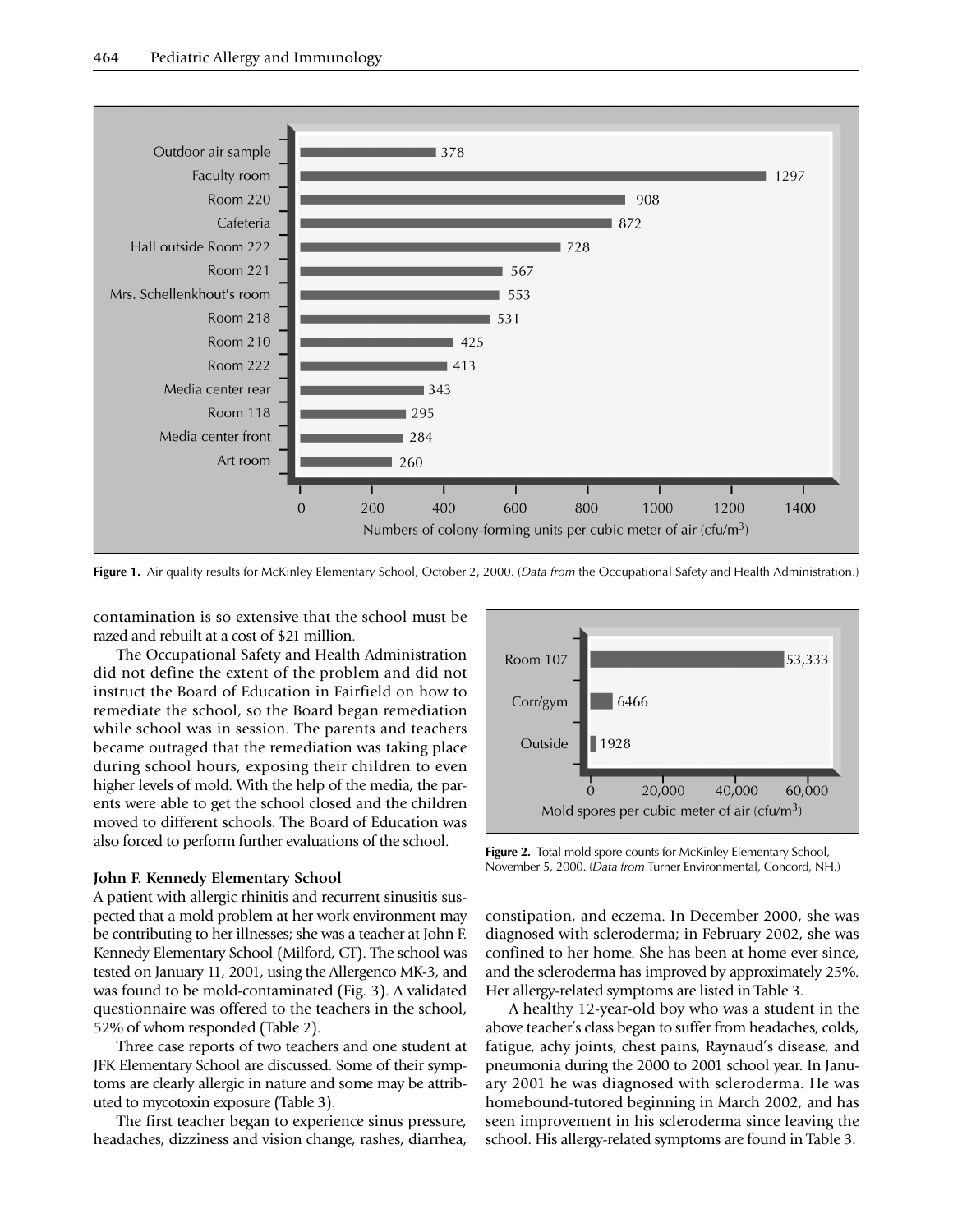

**Figure 1.** Air quality results for McKinley Elementary School, October 2, 2000. (*Data from* the Occupational Safety and Health Administration.)

contamination is so extensive that the school must be razed and rebuilt at a cost of \$21 million.

The Occupational Safety and Health Administration did not define the extent of the problem and did not instruct the Board of Education in Fairfield on how to remediate the school, so the Board began remediation while school was in session. The parents and teachers became outraged that the remediation was taking place during school hours, exposing their children to even higher levels of mold. With the help of the media, the parents were able to get the school closed and the children moved to different schools. The Board of Education was also forced to perform further evaluations of the school.

#### **John F. Kennedy Elementary School**

A patient with allergic rhinitis and recurrent sinusitis suspected that a mold problem at her work environment may be contributing to her illnesses; she was a teacher at John F. Kennedy Elementary School (Milford, CT). The school was tested on January 11, 2001, using the Allergenco MK-3, and was found to be mold-contaminated (Fig. 3). A validated questionnaire was offered to the teachers in the school, 52% of whom responded (Table 2).

Three case reports of two teachers and one student at JFK Elementary School are discussed. Some of their symptoms are clearly allergic in nature and some may be attributed to mycotoxin exposure (Table 3).

The first teacher began to experience sinus pressure, headaches, dizziness and vision change, rashes, diarrhea,



**Figure 2.** Total mold spore counts for McKinley Elementary School, November 5, 2000. (*Data from* Turner Environmental, Concord, NH.)

constipation, and eczema. In December 2000, she was diagnosed with scleroderma; in February 2002, she was confined to her home. She has been at home ever since, and the scleroderma has improved by approximately 25%. Her allergy-related symptoms are listed in Table 3.

A healthy 12-year-old boy who was a student in the above teacher's class began to suffer from headaches, colds, fatigue, achy joints, chest pains, Raynaud's disease, and pneumonia during the 2000 to 2001 school year. In January 2001 he was diagnosed with scleroderma. He was homebound-tutored beginning in March 2002, and has seen improvement in his scleroderma since leaving the school. His allergy-related symptoms are found in Table 3.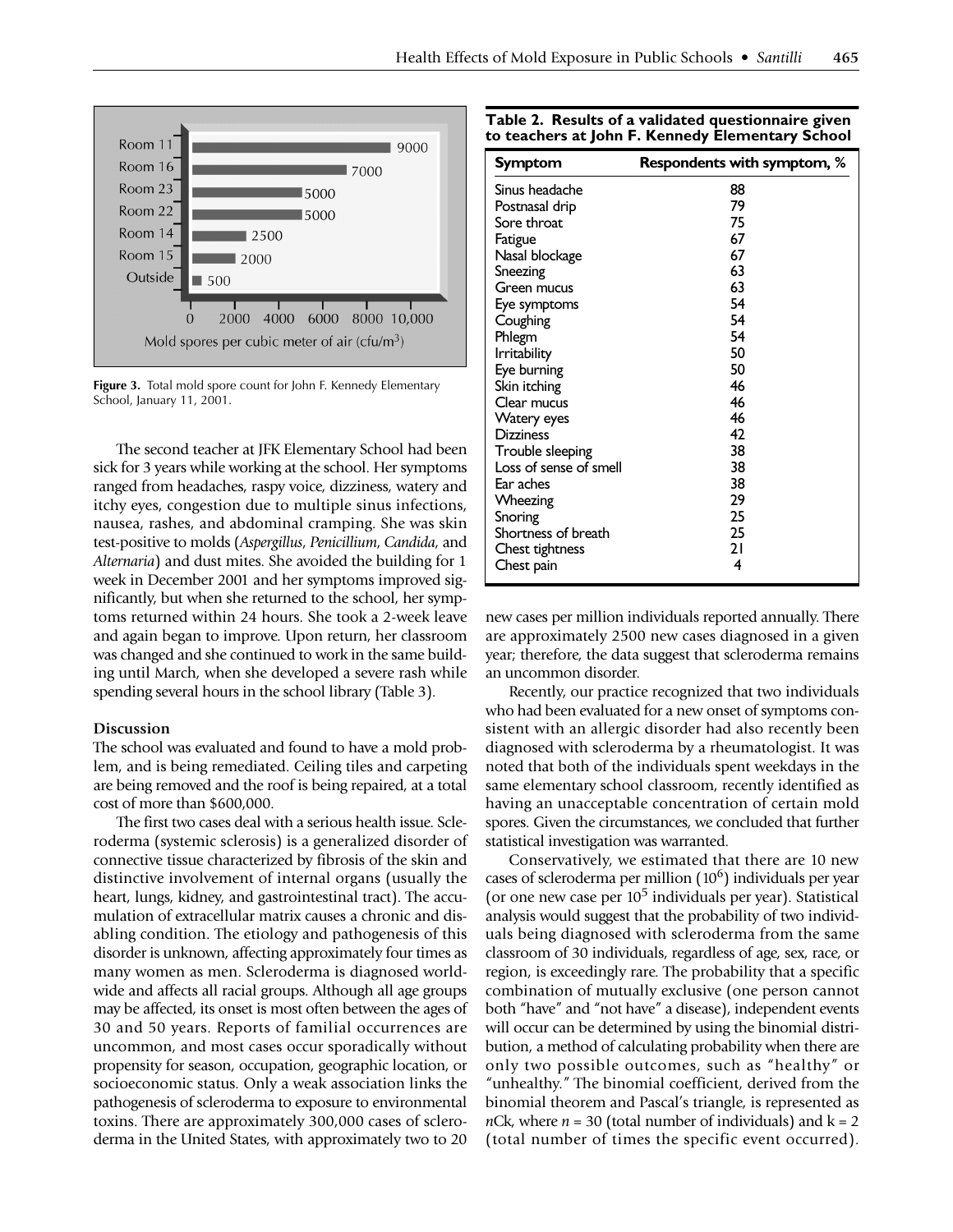

**Figure 3.** Total mold spore count for John F. Kennedy Elementary School, January 11, 2001.

The second teacher at JFK Elementary School had been sick for 3 years while working at the school. Her symptoms ranged from headaches, raspy voice, dizziness, watery and itchy eyes, congestion due to multiple sinus infections, nausea, rashes, and abdominal cramping. She was skin test-positive to molds (*Aspergillus*, *Penicillium*, *Candida*, and *Alternaria*) and dust mites. She avoided the building for 1 week in December 2001 and her symptoms improved significantly, but when she returned to the school, her symptoms returned within 24 hours. She took a 2-week leave and again began to improve. Upon return, her classroom was changed and she continued to work in the same building until March, when she developed a severe rash while spending several hours in the school library (Table 3).

#### **Discussion**

The school was evaluated and found to have a mold problem, and is being remediated. Ceiling tiles and carpeting are being removed and the roof is being repaired, at a total cost of more than \$600,000.

The first two cases deal with a serious health issue. Scleroderma (systemic sclerosis) is a generalized disorder of connective tissue characterized by fibrosis of the skin and distinctive involvement of internal organs (usually the heart, lungs, kidney, and gastrointestinal tract). The accumulation of extracellular matrix causes a chronic and disabling condition. The etiology and pathogenesis of this disorder is unknown, affecting approximately four times as many women as men. Scleroderma is diagnosed worldwide and affects all racial groups. Although all age groups may be affected, its onset is most often between the ages of 30 and 50 years. Reports of familial occurrences are uncommon, and most cases occur sporadically without propensity for season, occupation, geographic location, or socioeconomic status. Only a weak association links the pathogenesis of scleroderma to exposure to environmental toxins. There are approximately 300,000 cases of scleroderma in the United States, with approximately two to 20

| <b>Symptom</b>         | Respondents with symptom, % |
|------------------------|-----------------------------|
| Sinus headache         | 88                          |
| Postnasal drip         | 79                          |
| Sore throat            | 75                          |
| Fatigue                | 67                          |
| Nasal blockage         | 67                          |
| Sneezing               | 63                          |
| Green mucus            | 63                          |
| Eye symptoms           | 54                          |
| Coughing               | 54                          |
| Phlegm                 | 54                          |
| <b>Irritability</b>    | 50                          |
| Eye burning            | 50                          |
| Skin itching           | 46                          |
| Clear mucus            | 46                          |
| Watery eyes            | 46                          |
| <b>Dizziness</b>       | 42                          |
| Trouble sleeping       | 38                          |
| Loss of sense of smell | 38                          |
| Ear aches              | 38                          |
| Wheezing               | 29                          |
| Snoring                | 25                          |
| Shortness of breath    | 25                          |
| Chest tightness        | 21                          |
| Chest pain             | 4                           |

**Table 2. Results of a validated questionnaire given to teachers at John F. Kennedy Elementary School**

new cases per million individuals reported annually. There are approximately 2500 new cases diagnosed in a given year; therefore, the data suggest that scleroderma remains an uncommon disorder.

Recently, our practice recognized that two individuals who had been evaluated for a new onset of symptoms consistent with an allergic disorder had also recently been diagnosed with scleroderma by a rheumatologist. It was noted that both of the individuals spent weekdays in the same elementary school classroom, recently identified as having an unacceptable concentration of certain mold spores. Given the circumstances, we concluded that further statistical investigation was warranted.

Conservatively, we estimated that there are 10 new cases of scleroderma per million  $(10^6)$  individuals per year (or one new case per  $10<sup>5</sup>$  individuals per year). Statistical analysis would suggest that the probability of two individuals being diagnosed with scleroderma from the same classroom of 30 individuals, regardless of age, sex, race, or region, is exceedingly rare. The probability that a specific combination of mutually exclusive (one person cannot both "have" and "not have" a disease), independent events will occur can be determined by using the binomial distribution, a method of calculating probability when there are only two possible outcomes, such as "healthy" or "unhealthy." The binomial coefficient, derived from the binomial theorem and Pascal's triangle, is represented as *n*Ck, where  $n = 30$  (total number of individuals) and  $k = 2$ (total number of times the specific event occurred).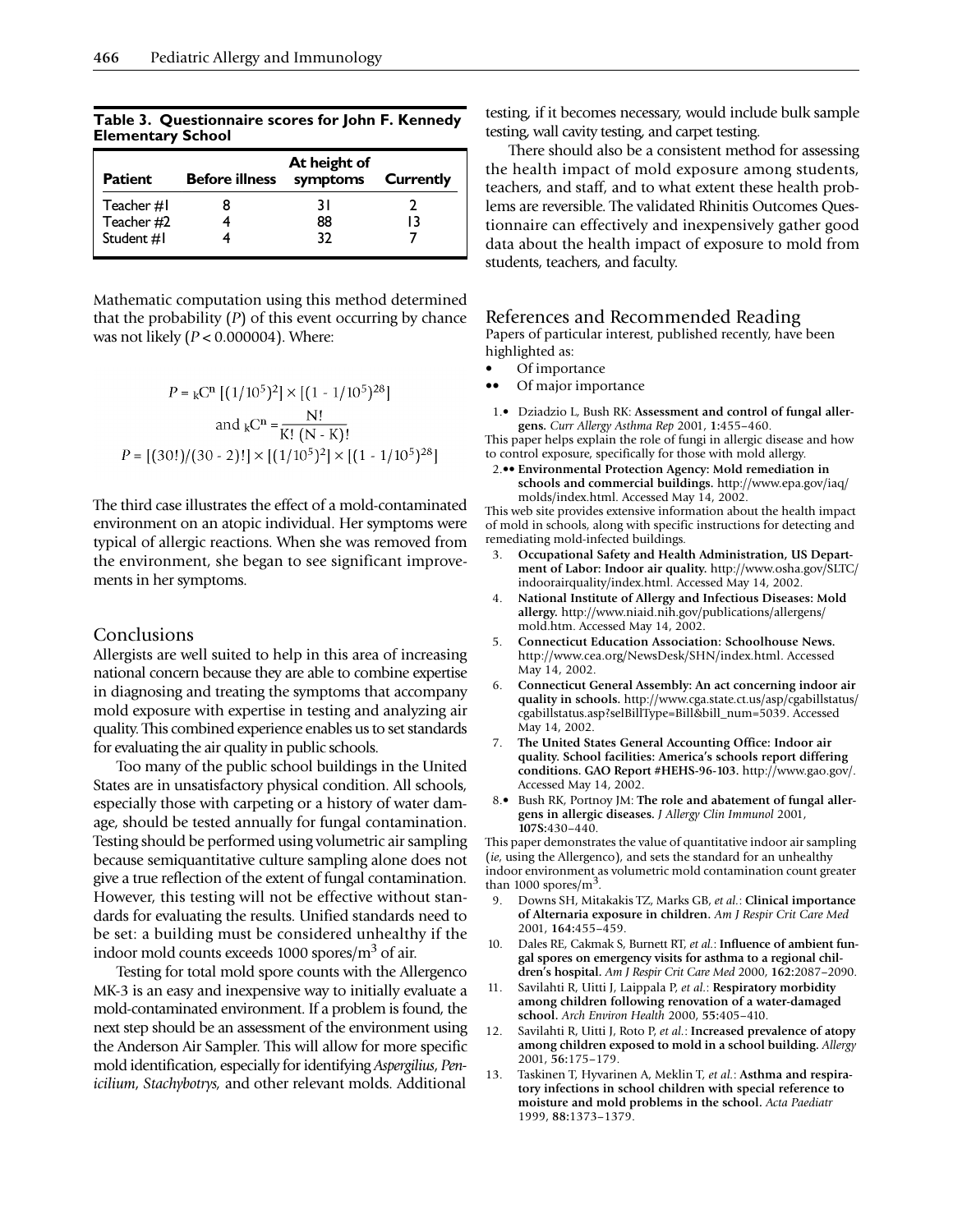| <b>Patient</b> | <b>Before illness</b> | At height of<br>symptoms | Currently |
|----------------|-----------------------|--------------------------|-----------|
| Teacher #1     |                       | 31                       |           |
| Teacher #2     |                       | 88                       |           |
| Student #1     |                       | つつ                       |           |

**Table 3. Questionnaire scores for John F. Kennedy Elementary School**

Mathematic computation using this method determined that the probability (*P*) of this event occurring by chance was not likely (*P* < 0.000004). Where:

$$
P = {}_{k}C^{n} [(1/10^{5})^{2}] \times [(1 - 1/10^{5})^{28}]
$$
  
and 
$$
{}_{k}C^{n} = \frac{N!}{K! (N - K)!}
$$

$$
P = [(30!)/(30 - 2)!] \times [(1/10^{5})^{2}] \times [(1 - 1/10^{5})^{28}]
$$

The third case illustrates the effect of a mold-contaminated environment on an atopic individual. Her symptoms were typical of allergic reactions. When she was removed from the environment, she began to see significant improvements in her symptoms.

# Conclusions

Allergists are well suited to help in this area of increasing national concern because they are able to combine expertise in diagnosing and treating the symptoms that accompany mold exposure with expertise in testing and analyzing air quality. This combined experience enables us to set standards for evaluating the air quality in public schools.

Too many of the public school buildings in the United States are in unsatisfactory physical condition. All schools, especially those with carpeting or a history of water damage, should be tested annually for fungal contamination. Testing should be performed using volumetric air sampling because semiquantitative culture sampling alone does not give a true reflection of the extent of fungal contamination. However, this testing will not be effective without standards for evaluating the results. Unified standards need to be set: a building must be considered unhealthy if the indoor mold counts exceeds 1000 spores/ $m<sup>3</sup>$  of air.

Testing for total mold spore counts with the Allergenco MK-3 is an easy and inexpensive way to initially evaluate a mold-contaminated environment. If a problem is found, the next step should be an assessment of the environment using the Anderson Air Sampler. This will allow for more specific mold identification, especially for identifying *Aspergilius*, *Penicilium*, *Stachybotrys,* and other relevant molds. Additional

testing, if it becomes necessary, would include bulk sample testing, wall cavity testing, and carpet testing.

There should also be a consistent method for assessing the health impact of mold exposure among students, teachers, and staff, and to what extent these health problems are reversible. The validated Rhinitis Outcomes Questionnaire can effectively and inexpensively gather good data about the health impact of exposure to mold from students, teachers, and faculty.

# References and Recommended Reading

Papers of particular interest, published recently, have been highlighted as:

- Of importance
- •• Of major importance
- 1.• Dziadzio L, Bush RK: **Assessment and control of fungal allergens.** *Curr Allergy Asthma Rep* 2001, **1:**455–460.

This paper helps explain the role of fungi in allergic disease and how to control exposure, specifically for those with mold allergy.

2.•• **Environmental Protection Agency: Mold remediation in schools and commercial buildings.** http://www.epa.gov/iaq/ molds/index.html. Accessed May 14, 2002.

This web site provides extensive information about the health impact of mold in schools, along with specific instructions for detecting and remediating mold-infected buildings.

- 3. **Occupational Safety and Health Administration, US Department of Labor: Indoor air quality.** http://www.osha.gov/SLTC/ indoorairquality/index.html. Accessed May 14, 2002.
- 4. **National Institute of Allergy and Infectious Diseases: Mold allergy.** http://www.niaid.nih.gov/publications/allergens/ mold.htm. Accessed May 14, 2002.
- 5. **Connecticut Education Association: Schoolhouse News.**  http://www.cea.org/NewsDesk/SHN/index.html. Accessed May 14, 2002.
- 6. **Connecticut General Assembly: An act concerning indoor air quality in schools.** http://www.cga.state.ct.us/asp/cgabillstatus/ cgabillstatus.asp?selBillType=Bill&bill\_num=5039. Accessed May 14, 2002.
- 7. **The United States General Accounting Office: Indoor air quality. School facilities: America's schools report differing conditions. GAO Report #HEHS-96-103.** http://www.gao.gov/. Accessed May 14, 2002.
- 8.• Bush RK, Portnoy JM: **The role and abatement of fungal allergens in allergic diseases.** *J Allergy Clin Immunol* 2001, **107S:**430–440.

This paper demonstrates the value of quantitative indoor air sampling (*ie*, using the Allergenco), and sets the standard for an unhealthy indoor environment as volumetric mold contamination count greater than 1000 spores/ $m<sup>3</sup>$ .

- 9. Downs SH, Mitakakis TZ, Marks GB, *et al.*: **Clinical importance of Alternaria exposure in children.** *Am J Respir Crit Care Med*  2001, **164:**455–459.
- 10. Dales RE, Cakmak S, Burnett RT, *et al.*: **Influence of ambient fungal spores on emergency visits for asthma to a regional children's hospital.** *Am J Respir Crit Care Med* 2000, **162:**2087–2090.
- 11. Savilahti R, Uitti J, Laippala P, *et al.*: **Respiratory morbidity among children following renovation of a water-damaged school.** *Arch Environ Health* 2000, **55:**405–410.
- 12. Savilahti R, Uitti J, Roto P, *et al.*: **Increased prevalence of atopy among children exposed to mold in a school building.** *Allergy*  2001, **56:**175–179.
- 13. Taskinen T, Hyvarinen A, Meklin T, *et al.*: **Asthma and respiratory infections in school children with special reference to moisture and mold problems in the school.** *Acta Paediatr*  1999, **88:**1373–1379.